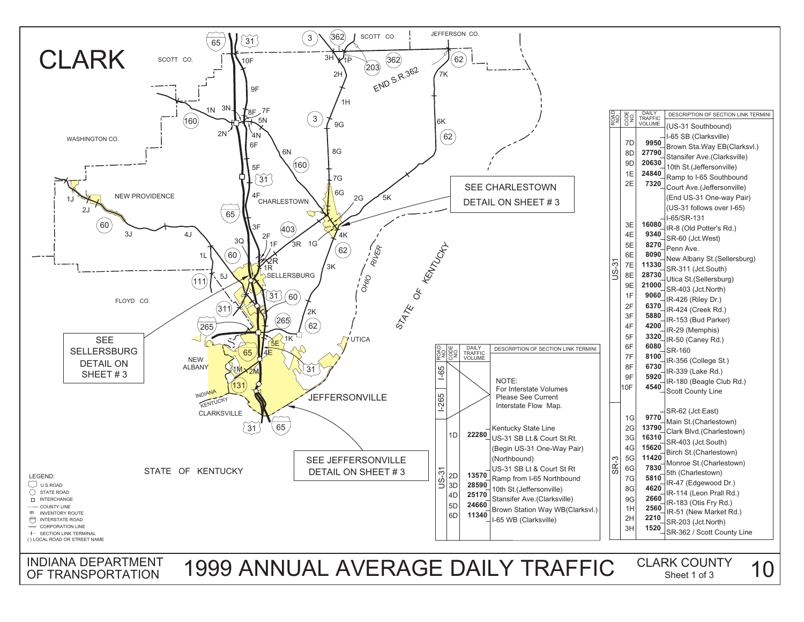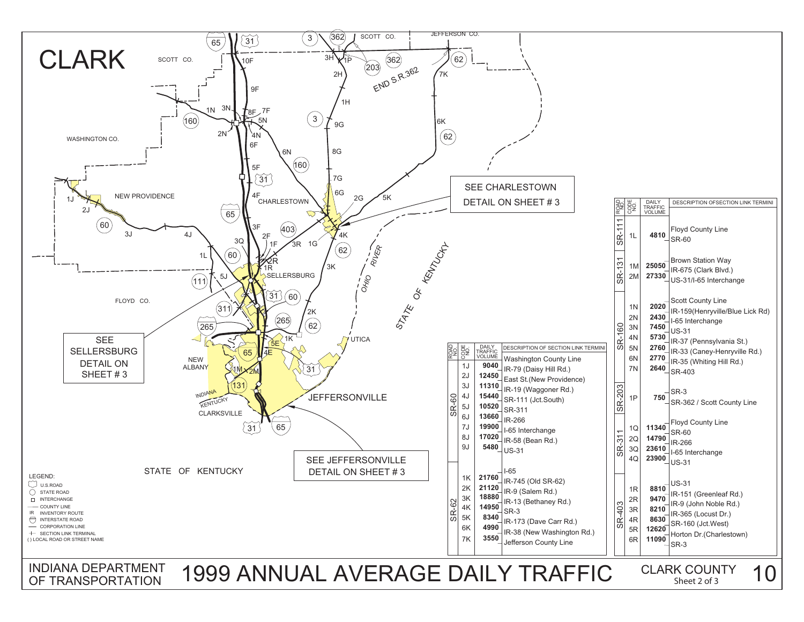